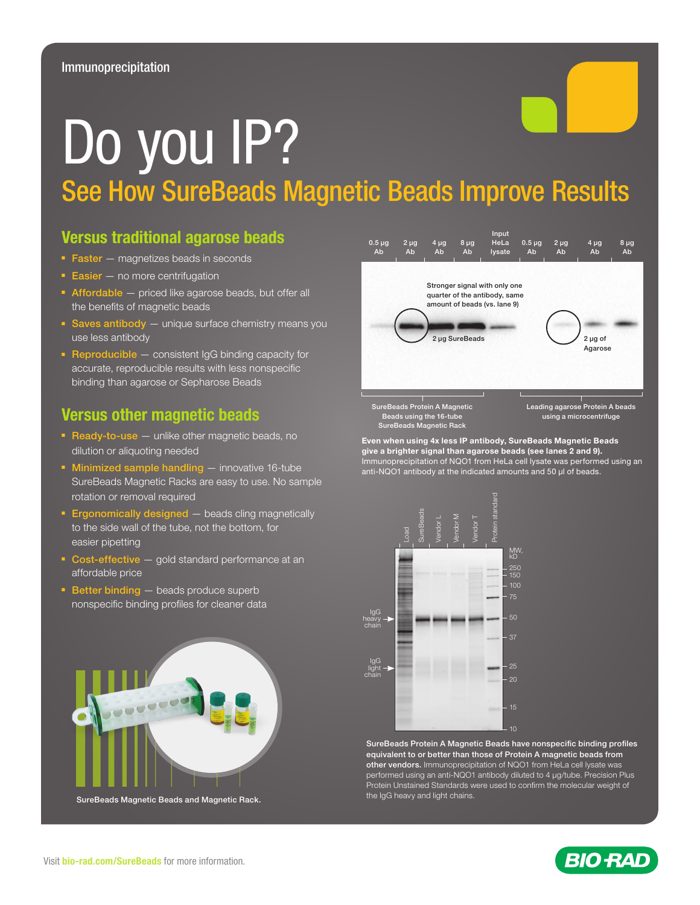# Do you IP? See How SureBeads Magnetic Beads Improve Results

## Versus traditional agarose beads

- Faster magnetizes beads in seconds
- Easier no more centrifugation
- Affordable priced like agarose beads, but offer all the benefits of magnetic beads
- Saves antibody unique surface chemistry means you use less antibody
- Reproducible consistent IgG binding capacity for accurate, reproducible results with less nonspecific binding than agarose or Sepharose Beads

### Versus other magnetic beads

- Ready-to-use unlike other magnetic beads, no dilution or aliquoting needed
- Minimized sample handling innovative 16-tube SureBeads Magnetic Racks are easy to use. No sample rotation or removal required
- **Ergonomically designed** beads cling magnetically to the side wall of the tube, not the bottom, for easier pipetting
- Cost-effective gold standard performance at an affordable price
- Better binding beads produce superb nonspecific binding profiles for cleaner data



SureBeads Magnetic Beads and Magnetic Rack.



SureBeads Protein A Magnetic Beads using the 16-tube SureBeads Magnetic Rack

Leading agarose Protein A beads using a microcentrifuge

Even when using 4x less IP antibody, SureBeads Magnetic Beads give a brighter signal than agarose beads (see lanes 2 and 9). Immunoprecipitation of NQO1 from HeLa cell lysate was performed using an anti-NQO1 antibody at the indicated amounts and 50 μl of beads.



SureBeads Protein A Magnetic Beads have nonspecific binding profiles equivalent to or better than those of Protein A magnetic beads from other vendors. Immunoprecipitation of NQO1 from HeLa cell lysate was performed using an anti-NQO1 antibody diluted to 4 μg/tube. Precision Plus Protein Unstained Standards were used to confirm the molecular weight of the IgG heavy and light chains.